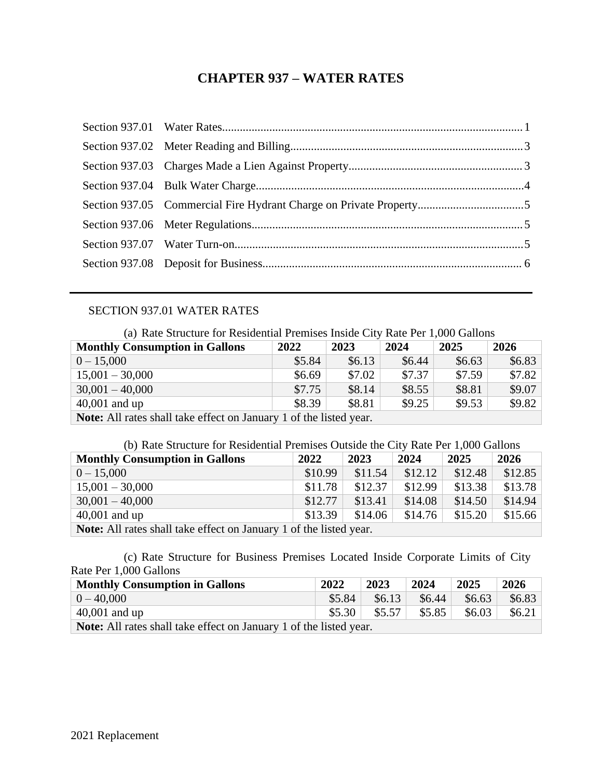# **CHAPTER 937 – WATER RATES**

## SECTION 937.01 WATER RATES

<span id="page-0-0"></span>(a) Rate Structure for Residential Premises Inside City Rate Per 1,000 Gallons

| <b>Monthly Consumption in Gallons</b>                                     | 2022   | 2023   | 2024   | 2025     | 2026     |  |  |
|---------------------------------------------------------------------------|--------|--------|--------|----------|----------|--|--|
| $0 - 15,000$                                                              | \$5.84 | \$6.13 | \$6.44 | \$6.63\$ | \$6.83\$ |  |  |
| $15,001 - 30,000$                                                         | \$6.69 | \$7.02 | \$7.37 | \$7.59   | \$7.82   |  |  |
| $30,001 - 40,000$                                                         | \$7.75 | \$8.14 | \$8.55 | \$8.81   | \$9.07   |  |  |
| \$9.25<br>\$9.82<br>\$9.53<br>\$8.39<br>\$8.81<br>40,001 and up           |        |        |        |          |          |  |  |
| <b>Note:</b> All rates shall take effect on January 1 of the listed year. |        |        |        |          |          |  |  |

| <b>Monthly Consumption in Gallons</b>                                | 2022    | 2023    | 2024    | 2025    | 2026    |  |
|----------------------------------------------------------------------|---------|---------|---------|---------|---------|--|
| $0 - 15,000$                                                         | \$10.99 | \$11.54 | \$12.12 | \$12.48 | \$12.85 |  |
| $15,001 - 30,000$                                                    | \$11.78 | \$12.37 | \$12.99 | \$13.38 | \$13.78 |  |
| $30,001 - 40,000$                                                    | \$12.77 | \$13.41 | \$14.08 | \$14.50 | \$14.94 |  |
| \$15.66<br>\$15.20<br>\$13.39<br>\$14.76<br>40,001 and up<br>\$14.06 |         |         |         |         |         |  |
| Note: All rates shall take effect on January 1 of the listed year.   |         |         |         |         |         |  |

(c) Rate Structure for Business Premises Located Inside Corporate Limits of City Rate Per 1,000 Gallons

| <b>Monthly Consumption in Gallons</b>                                     |                     | 2023   | 2024   | 2025   | 2026     |
|---------------------------------------------------------------------------|---------------------|--------|--------|--------|----------|
| $0 - 40,000$                                                              | \$5.84              | \$6.13 | \$6.44 | \$6.63 | \$6.83\$ |
| $\vert$ 40,001 and up                                                     | \$5.30 <sub>1</sub> | \$5.57 | \$5.85 | \$6.03 | \$6.21   |
| <b>Note:</b> All rates shall take effect on January 1 of the listed year. |                     |        |        |        |          |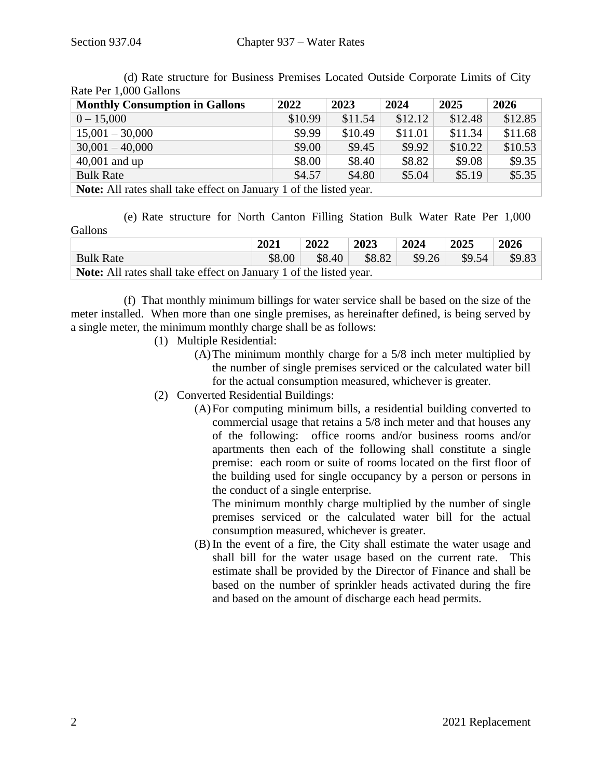| <b>Monthly Consumption in Gallons</b>                                     | 2022    | 2023    | 2024    | 2025    | 2026    |  |  |
|---------------------------------------------------------------------------|---------|---------|---------|---------|---------|--|--|
| $0 - 15,000$                                                              | \$10.99 | \$11.54 | \$12.12 | \$12.48 | \$12.85 |  |  |
| $15,001 - 30,000$                                                         | \$9.99  | \$10.49 | \$11.01 | \$11.34 | \$11.68 |  |  |
| $30,001 - 40,000$                                                         | \$9.00  | \$9.45  | \$9.92  | \$10.22 | \$10.53 |  |  |
| $40,001$ and up                                                           | \$8.00  | \$8.40  | \$8.82  | \$9.08  | \$9.35  |  |  |
| \$5.35<br>\$4.80<br>\$4.57<br>\$5.19<br>\$5.04<br><b>Bulk Rate</b>        |         |         |         |         |         |  |  |
| <b>Note:</b> All rates shall take effect on January 1 of the listed year. |         |         |         |         |         |  |  |

(d) Rate structure for Business Premises Located Outside Corporate Limits of City Rate Per 1,000 Gallons

(e) Rate structure for North Canton Filling Station Bulk Water Rate Per 1,000 **Gallons** 

|                                                                    | 2021   | 2022 | 2023                                    | $\frac{12024}{}$ | $\mid 2025$ | 2026 |
|--------------------------------------------------------------------|--------|------|-----------------------------------------|------------------|-------------|------|
| <b>Bulk Rate</b>                                                   | \$8.00 |      | $$8.40$ $$8.82$ $$9.26$ $$9.54$ $$9.83$ |                  |             |      |
| Note: All rates shall take effect on January 1 of the listed year. |        |      |                                         |                  |             |      |

(f) That monthly minimum billings for water service shall be based on the size of the meter installed. When more than one single premises, as hereinafter defined, is being served by a single meter, the minimum monthly charge shall be as follows:

- (1) Multiple Residential:
	- (A)The minimum monthly charge for a 5/8 inch meter multiplied by the number of single premises serviced or the calculated water bill for the actual consumption measured, whichever is greater.
- (2) Converted Residential Buildings:
	- (A)For computing minimum bills, a residential building converted to commercial usage that retains a 5/8 inch meter and that houses any of the following: office rooms and/or business rooms and/or apartments then each of the following shall constitute a single premise: each room or suite of rooms located on the first floor of the building used for single occupancy by a person or persons in the conduct of a single enterprise.

The minimum monthly charge multiplied by the number of single premises serviced or the calculated water bill for the actual consumption measured, whichever is greater.

(B) In the event of a fire, the City shall estimate the water usage and shall bill for the water usage based on the current rate. This estimate shall be provided by the Director of Finance and shall be based on the number of sprinkler heads activated during the fire and based on the amount of discharge each head permits.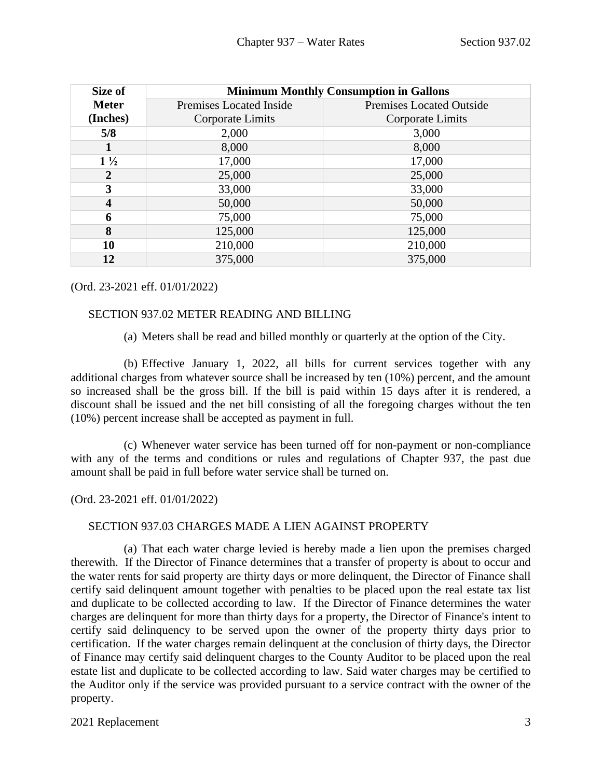| Size of        | <b>Minimum Monthly Consumption in Gallons</b> |                          |  |  |  |
|----------------|-----------------------------------------------|--------------------------|--|--|--|
| <b>Meter</b>   | Premises Located Inside                       | Premises Located Outside |  |  |  |
| (Inches)       | Corporate Limits                              | Corporate Limits         |  |  |  |
| 5/8            | 2,000                                         | 3,000                    |  |  |  |
| 1              | 8,000                                         | 8,000                    |  |  |  |
| $1\frac{1}{2}$ | 17,000                                        | 17,000                   |  |  |  |
| 2              | 25,000                                        | 25,000                   |  |  |  |
| 3              | 33,000                                        | 33,000                   |  |  |  |
| 4              | 50,000                                        | 50,000                   |  |  |  |
| 6              | 75,000                                        | 75,000                   |  |  |  |
| 8              | 125,000                                       | 125,000                  |  |  |  |
| 10             | 210,000                                       | 210,000                  |  |  |  |
| 12             | 375,000                                       | 375,000                  |  |  |  |

## (Ord. 23-2021 eff. 01/01/2022)

## SECTION 937.02 METER READING AND BILLING

<span id="page-2-0"></span>(a) Meters shall be read and billed monthly or quarterly at the option of the City.

(b) Effective January 1, 2022, all bills for current services together with any additional charges from whatever source shall be increased by ten (10%) percent, and the amount so increased shall be the gross bill. If the bill is paid within 15 days after it is rendered, a discount shall be issued and the net bill consisting of all the foregoing charges without the ten (10%) percent increase shall be accepted as payment in full.

(c) Whenever water service has been turned off for non-payment or non-compliance with any of the terms and conditions or rules and regulations of Chapter 937, the past due amount shall be paid in full before water service shall be turned on.

(Ord. 23-2021 eff. 01/01/2022)

## <span id="page-2-1"></span>SECTION 937.03 CHARGES MADE A LIEN AGAINST PROPERTY

(a) That each water charge levied is hereby made a lien upon the premises charged therewith. If the Director of Finance determines that a transfer of property is about to occur and the water rents for said property are thirty days or more delinquent, the Director of Finance shall certify said delinquent amount together with penalties to be placed upon the real estate tax list and duplicate to be collected according to law. If the Director of Finance determines the water charges are delinquent for more than thirty days for a property, the Director of Finance's intent to certify said delinquency to be served upon the owner of the property thirty days prior to certification. If the water charges remain delinquent at the conclusion of thirty days, the Director of Finance may certify said delinquent charges to the County Auditor to be placed upon the real estate list and duplicate to be collected according to law. Said water charges may be certified to the Auditor only if the service was provided pursuant to a service contract with the owner of the property.

## 2021 Replacement 3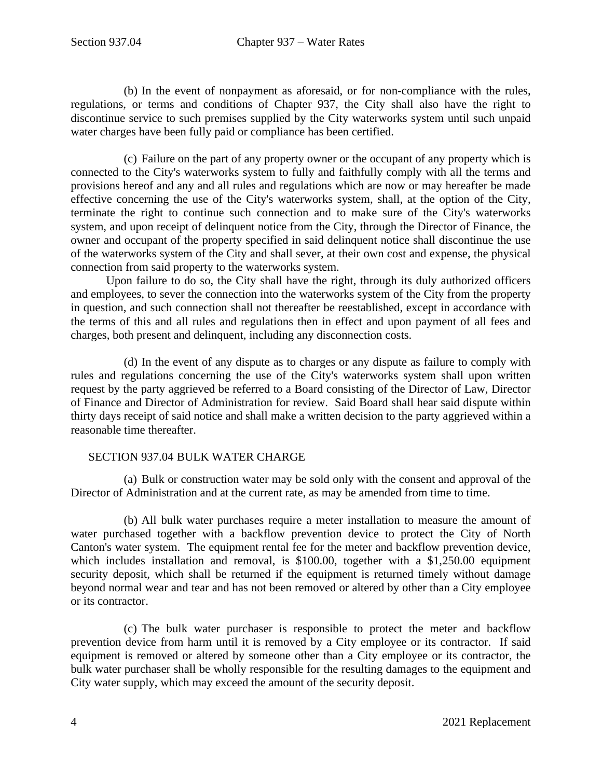(b) In the event of nonpayment as aforesaid, or for non-compliance with the rules, regulations, or terms and conditions of Chapter 937, the City shall also have the right to discontinue service to such premises supplied by the City waterworks system until such unpaid water charges have been fully paid or compliance has been certified.

(c) Failure on the part of any property owner or the occupant of any property which is connected to the City's waterworks system to fully and faithfully comply with all the terms and provisions hereof and any and all rules and regulations which are now or may hereafter be made effective concerning the use of the City's waterworks system, shall, at the option of the City, terminate the right to continue such connection and to make sure of the City's waterworks system, and upon receipt of delinquent notice from the City, through the Director of Finance, the owner and occupant of the property specified in said delinquent notice shall discontinue the use of the waterworks system of the City and shall sever, at their own cost and expense, the physical connection from said property to the waterworks system.

Upon failure to do so, the City shall have the right, through its duly authorized officers and employees, to sever the connection into the waterworks system of the City from the property in question, and such connection shall not thereafter be reestablished, except in accordance with the terms of this and all rules and regulations then in effect and upon payment of all fees and charges, both present and delinquent, including any disconnection costs.

(d) In the event of any dispute as to charges or any dispute as failure to comply with rules and regulations concerning the use of the City's waterworks system shall upon written request by the party aggrieved be referred to a Board consisting of the Director of Law, Director of Finance and Director of Administration for review. Said Board shall hear said dispute within thirty days receipt of said notice and shall make a written decision to the party aggrieved within a reasonable time thereafter.

## <span id="page-3-0"></span>SECTION 937.04 BULK WATER CHARGE

(a) Bulk or construction water may be sold only with the consent and approval of the Director of Administration and at the current rate, as may be amended from time to time.

(b) All bulk water purchases require a meter installation to measure the amount of water purchased together with a backflow prevention device to protect the City of North Canton's water system. The equipment rental fee for the meter and backflow prevention device, which includes installation and removal, is \$100.00, together with a \$1,250.00 equipment security deposit, which shall be returned if the equipment is returned timely without damage beyond normal wear and tear and has not been removed or altered by other than a City employee or its contractor.

(c) The bulk water purchaser is responsible to protect the meter and backflow prevention device from harm until it is removed by a City employee or its contractor. If said equipment is removed or altered by someone other than a City employee or its contractor, the bulk water purchaser shall be wholly responsible for the resulting damages to the equipment and City water supply, which may exceed the amount of the security deposit.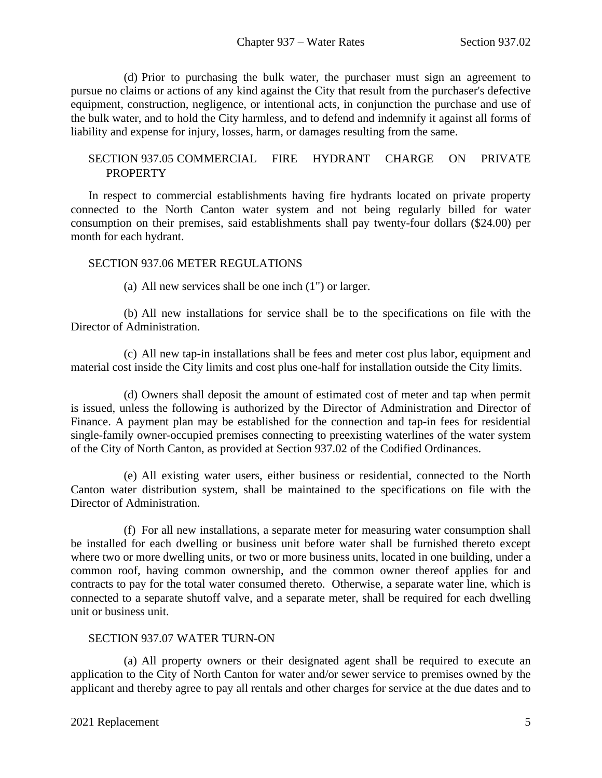(d) Prior to purchasing the bulk water, the purchaser must sign an agreement to pursue no claims or actions of any kind against the City that result from the purchaser's defective equipment, construction, negligence, or intentional acts, in conjunction the purchase and use of the bulk water, and to hold the City harmless, and to defend and indemnify it against all forms of liability and expense for injury, losses, harm, or damages resulting from the same.

## <span id="page-4-0"></span>SECTION 937.05 COMMERCIAL FIRE HYDRANT CHARGE ON PRIVATE **PROPERTY**

In respect to commercial establishments having fire hydrants located on private property connected to the North Canton water system and not being regularly billed for water consumption on their premises, said establishments shall pay twenty-four dollars (\$24.00) per month for each hydrant.

## SECTION 937.06 METER REGULATIONS

<span id="page-4-1"></span>(a) All new services shall be one inch (1") or larger.

(b) All new installations for service shall be to the specifications on file with the Director of Administration.

(c) All new tap-in installations shall be fees and meter cost plus labor, equipment and material cost inside the City limits and cost plus one-half for installation outside the City limits.

(d) Owners shall deposit the amount of estimated cost of meter and tap when permit is issued, unless the following is authorized by the Director of Administration and Director of Finance. A payment plan may be established for the connection and tap-in fees for residential single-family owner-occupied premises connecting to preexisting waterlines of the water system of the City of North Canton, as provided at Section 937.02 of the Codified Ordinances.

(e) All existing water users, either business or residential, connected to the North Canton water distribution system, shall be maintained to the specifications on file with the Director of Administration.

(f) For all new installations, a separate meter for measuring water consumption shall be installed for each dwelling or business unit before water shall be furnished thereto except where two or more dwelling units, or two or more business units, located in one building, under a common roof, having common ownership, and the common owner thereof applies for and contracts to pay for the total water consumed thereto. Otherwise, a separate water line, which is connected to a separate shutoff valve, and a separate meter, shall be required for each dwelling unit or business unit.

## <span id="page-4-2"></span>SECTION 937.07 WATER TURN-ON

(a) All property owners or their designated agent shall be required to execute an application to the City of North Canton for water and/or sewer service to premises owned by the applicant and thereby agree to pay all rentals and other charges for service at the due dates and to